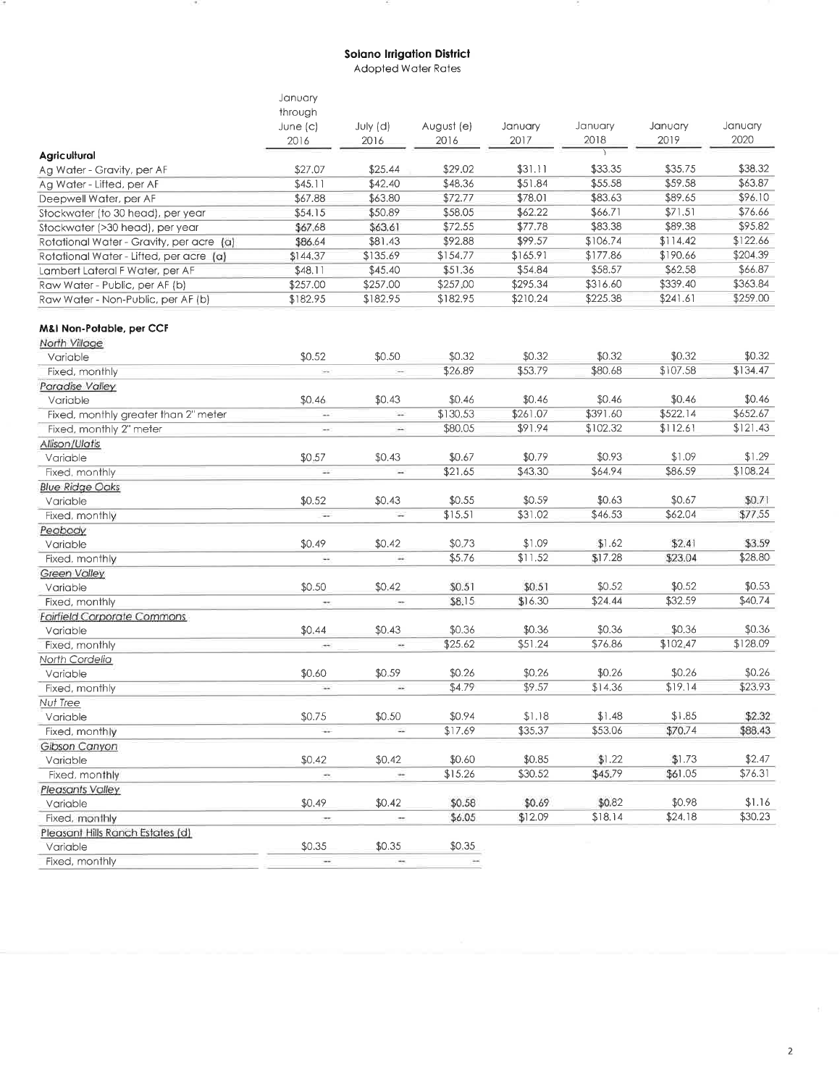## **Solano Irrigation District**

×

 $\overline{a}$ 

 $\langle \Psi \rangle$ 

Adopted Water Rates

|                                          | January                     |                          |                          |          |          |          |          |
|------------------------------------------|-----------------------------|--------------------------|--------------------------|----------|----------|----------|----------|
|                                          | through                     |                          |                          |          |          |          |          |
|                                          | June (c)                    | July (d)                 | August (e)               | January  | January  | January  | January  |
|                                          | 2016                        | 2016                     | 2016                     | 2017     | 2018     | 2019     | 2020     |
| Agricultural                             |                             |                          |                          |          |          |          |          |
| Ag Water - Gravity, per AF               | \$27.07                     | \$25.44                  | \$29.02                  | \$31.11  | \$33.35  | \$35.75  | \$38.32  |
| Ag Water - Lifted, per AF                | \$45.11                     | \$42.40                  | \$48.36                  | \$51.84  | \$55.58  | \$59.58  | \$63.87  |
| Deepwell Water, per AF                   | \$67.88                     | \$63.80                  | \$72.77                  | \$78.01  | \$83.63  | \$89.65  | \$96.10  |
| Stockwater (to 30 head), per year        | \$54.15                     | \$50.89                  | \$58.05                  | \$62.22  | \$66.71  | \$71.51  | \$76.66  |
| Stockwater (>30 head), per year          | \$67.68                     | \$63.61                  | \$72.55                  | \$77.78  | \$83.38  | \$89.38  | \$95.82  |
| Rotational Water - Gravity, per acre (a) | \$86.64                     | \$81.43                  | \$92.88                  | \$99.57  | \$106.74 | \$114.42 | \$122.66 |
| Rotational Water - Lifted, per acre (a)  | \$144.37                    | \$135.69                 | \$154.77                 | \$165.91 | \$177.86 | \$190.66 | \$204.39 |
| Lambert Lateral F Water, per AF          | \$48.11                     | \$45.40                  | \$51.36                  | \$54.84  | \$58.57  | \$62.58  | \$66.87  |
| Raw Water - Public, per AF (b)           | \$257.00                    | \$257.00                 | \$257,00                 | \$295.34 | \$316.60 | \$339.40 | \$363.84 |
| Raw Water - Non-Public, per AF (b)       | \$182.95                    | \$182.95                 | \$182.95                 | \$210.24 | \$225.38 | \$241.61 | \$259.00 |
| M&I Non-Potable, per CCF                 |                             |                          |                          |          |          |          |          |
| North Village                            |                             |                          |                          |          |          |          |          |
| Variable                                 | \$0.52                      | \$0.50                   | \$0.32                   | \$0.32   | \$0.32   | \$0.32   | \$0.32   |
| Fixed, monthly                           | $\mathcal{L}_{\mathcal{B}}$ | $\overline{\phantom{a}}$ | \$26.89                  | \$53.79  | \$80.68  | \$107.58 | \$134.47 |
| Paradise Valley                          |                             |                          |                          |          |          |          |          |
| Variable                                 | \$0.46                      | \$0.43                   | \$0.46                   | \$0.46   | \$0.46   | \$0.46   | \$0.46   |
| Fixed, monthly greater than 2" meter     | $\overline{\phantom{a}}$    | w.                       | \$130.53                 | \$261.07 | \$391.60 | \$522.14 | \$652.67 |
| Fixed, monthly 2" meter                  | $\overline{\phantom{a}}$    | ÷                        | \$80.05                  | \$91.94  | \$102.32 | \$112.61 | \$121.43 |
| Allison/Ulatis                           |                             |                          |                          |          |          |          |          |
| Variable                                 | \$0.57                      | \$0.43                   | \$0.67                   | \$0.79   | \$0.93   | \$1.09   | \$1.29   |
| Fixed, monthly                           | u.                          | ÷.                       | \$21.65                  | \$43.30  | \$64.94  | \$86.59  | \$108.24 |
| <b>Blue Ridge Oaks</b>                   |                             |                          |                          |          |          |          |          |
| Variable                                 | \$0.52                      | \$0.43                   | \$0.55                   | \$0.59   | \$0.63   | \$0.67   | \$0.71   |
| Fixed, monthly                           | ÷.                          |                          | \$15.51                  | \$31.02  | \$46.53  | \$62.04  | \$77.55  |
| Peabody                                  |                             |                          |                          |          |          |          |          |
| Variable                                 | \$0.49                      | \$0.42                   | \$0.73                   | \$1.09   | \$1.62   | \$2.41   | \$3.59   |
| Fixed, monthly                           | ⊶                           | $\overline{\phantom{a}}$ | \$5.76                   | \$11.52  | \$17.28  | \$23.04  | \$28.80  |
| <b>Green Valley</b>                      |                             |                          |                          |          |          |          |          |
| Variable                                 | \$0.50                      | \$0.42                   | \$0.51                   | \$0.51   | \$0.52   | \$0.52   | \$0.53   |
| Fixed, monthly                           | $\mathcal{C}(\mathcal{C})$  | $\sim$                   | \$8.15                   | \$16.30  | \$24.44  | \$32.59  | \$40.74  |
| <b>Fairfield Corporate Commons</b>       |                             |                          |                          |          |          |          |          |
| Variable                                 | \$0.44                      | \$0.43                   | \$0.36                   | \$0.36   | \$0.36   | \$0.36   | \$0.36   |
| Fixed, monthly                           | $\overline{\phantom{a}}$    | $\sim$                   | \$25.62                  | \$51.24  | \$76.86  | \$102,47 | \$128.09 |
| North Cordelia                           |                             |                          |                          |          |          |          |          |
| Variable                                 | \$0.60                      | \$0.59                   | \$0.26                   | \$0.26   | \$0.26   | \$0.26   | \$0.26   |
| Fixed, monthly                           |                             |                          | \$4.79                   | \$9.57   | \$14.36  | \$19.14  | \$23.93  |
| Nut Tree                                 |                             |                          |                          |          |          |          |          |
| Variable                                 | \$0.75                      | \$0.50                   | \$0.94                   | \$1.18   | \$1.48   | \$1.85   | \$2.32   |
| Fixed, monthly                           | $\overline{\phantom{a}}$    | ÷.                       | \$17.69                  | \$35.37  | \$53.06  | \$70.74  | \$88.43  |
| Gibson Canyon                            |                             |                          |                          |          |          |          |          |
| Variable                                 | \$0.42                      | \$0.42                   | \$0.60                   | \$0.85   | \$1.22   | \$1.73   | \$2.47   |
| Fixed, monthly                           | $\overline{\phantom{a}}$    | $\bullet\bullet$         | \$15.26                  | \$30.52  | \$45.79  | \$61.05  | \$76.31  |
| <b>Pleasants Valley</b>                  |                             |                          |                          |          |          |          |          |
| Variable                                 | \$0.49                      | \$0.42                   | \$0.58                   | \$0.69   | \$0.82   | \$0.98   | \$1.16   |
| Fixed, monthly                           |                             | $\overline{\phantom{a}}$ | \$6.05                   | \$12.09  | \$18.14  | \$24.18  | \$30.23  |
| Pleasant Hills Ranch Estates (d)         |                             |                          |                          |          |          |          |          |
| Variable                                 | \$0.35                      | \$0.35                   | \$0.35                   |          |          |          |          |
| Fixed, monthly                           | $\cdots$                    | $\overline{\phantom{a}}$ | $\overline{\phantom{a}}$ |          |          |          |          |